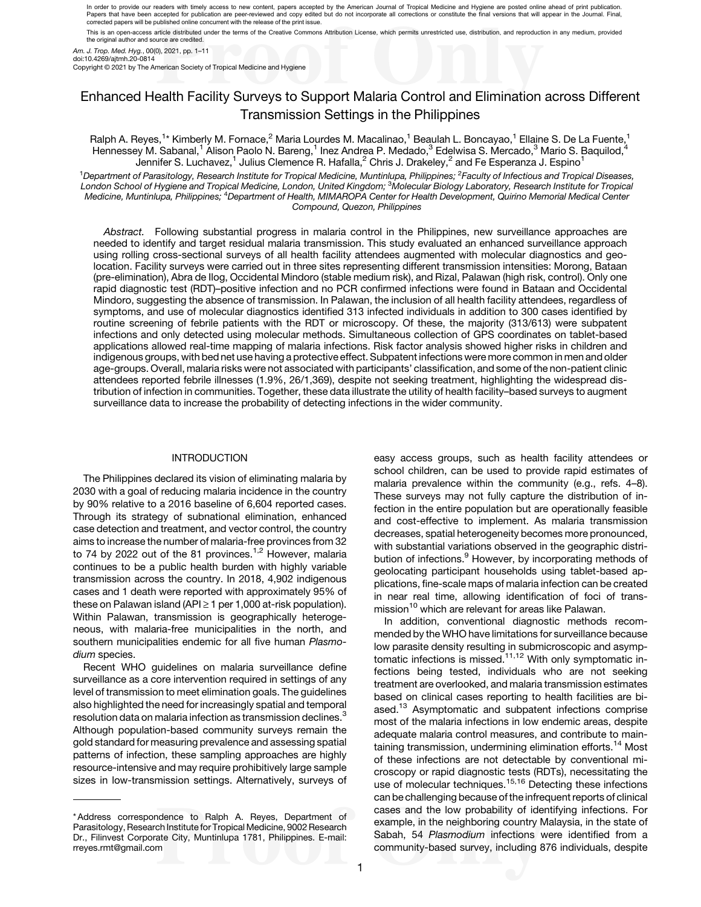In order to provide our readers with timely access to new content, papers accepted by the American Journal of Tropical Medicine and Hygiene are posted online ahead of print publication. Papers that have been accepted for publication are peer-reviewed and copy edited but do not incorporate all corrections or constitute the final versions that will appear in the Journal. Final,<br>corrected papers will be publ This is an open-access article distributed under the terms of the Creative Commons Attribution License, which permits unrestricted use, distribution, and reproduction in any medium, provided

the original author and source are credited

Am. J. Trop. Med. Hyg., 00(0), 2021, pp. 1–11 doi:10.4269/ajtmh.20-0814

Copyright © 2021 by The American Society of Tropical Medicine and Hygiene

# Enhanced Health Facility Surveys to Support Malaria Control and Elimination across Different Transmission Settings in the Philippines

Ralph A. Reyes,<sup>1</sup>\* Kimberly M. Fornace,<sup>2</sup> Maria Lourdes M. Macalinao,<sup>1</sup> Beaulah L. Boncayao,<sup>1</sup> Ellaine S. De La Fuente,<sup>1</sup> Hennessey M. Sabanal,<sup>1</sup> Alison Paolo N. Bareng,<sup>1</sup> Inez Andrea P. Medado,<sup>3</sup> Edelwisa S. Mercado,<sup>3</sup> Mario S. Baquilod,<sup>4</sup> Jennifer S. Luchavez,<sup>1</sup> Julius Clemence R. Hafalla,<sup>2</sup> Chris J. Drakeley,<sup>2</sup> and Fe Esperanza J. Espino<sup>1</sup>

<sup>1</sup>Department of Parasitology, Research Institute for Tropical Medicine, Muntinlupa, Philippines; <sup>2</sup>Faculty of Infectious and Tropical Diseases, London School of Hygiene and Tropical Medicine, London, United Kingdom; <sup>3</sup>Molecular Biology Laboratory, Research Institute for Tropical Medicine, Muntinlupa, Philippines; <sup>4</sup>Department of Health, MIMAROPA Center for Health Development, Quirino Memorial Medical Center Compound, Quezon, Philippines

Abstract. Following substantial progress in malaria control in the Philippines, new surveillance approaches are needed to identify and target residual malaria transmission. This study evaluated an enhanced surveillance approach using rolling cross-sectional surveys of all health facility attendees augmented with molecular diagnostics and geolocation. Facility surveys were carried out in three sites representing different transmission intensities: Morong, Bataan (pre-elimination), Abra de Ilog, Occidental Mindoro (stable medium risk), and Rizal, Palawan (high risk, control). Only one rapid diagnostic test (RDT)–positive infection and no PCR confirmed infections were found in Bataan and Occidental Mindoro, suggesting the absence of transmission. In Palawan, the inclusion of all health facility attendees, regardless of symptoms, and use of molecular diagnostics identified 313 infected individuals in addition to 300 cases identified by routine screening of febrile patients with the RDT or microscopy. Of these, the majority (313/613) were subpatent infections and only detected using molecular methods. Simultaneous collection of GPS coordinates on tablet-based applications allowed real-time mapping of malaria infections. Risk factor analysis showed higher risks in children and indigenous groups, with bed net use having a protective effect. Subpatent infections were more common in men and older age-groups. Overall, malaria risks were not associated with participants' classification, and some of the non-patient clinic attendees reported febrile illnesses (1.9%, 26/1,369), despite not seeking treatment, highlighting the widespread distribution of infection in communities. Together, these data illustrate the utility of health facility–based surveys to augment surveillance data to increase the probability of detecting infections in the wider community.

## INTRODUCTION

The Philippines declared its vision of eliminating malaria by 2030 with a goal of reducing malaria incidence in the country by 90% relative to a 2016 baseline of 6,604 reported cases. Through its strategy of subnational elimination, enhanced case detection and treatment, and vector control, the country aims to increase the number of malaria-free provinces from 32 to 74 by 2022 out of the 81 provinces.<sup>[1,2](#page-9-0)</sup> However, malaria continues to be a public health burden with highly variable transmission across the country. In 2018, 4,902 indigenous cases and 1 death were reported with approximately 95% of these on Palawan island (API $\geq$  1 per 1,000 at-risk population). Within Palawan, transmission is geographically heterogeneous, with malaria-free municipalities in the north, and southern municipalities endemic for all five human Plasmodium species.

Recent WHO guidelines on malaria surveillance define surveillance as a core intervention required in settings of any level of transmission to meet elimination goals. The guidelines also highlighted the need for increasingly spatial and temporal resolution data on malaria infection as transmission declines.<sup>[3](#page-9-0)</sup> Although population-based community surveys remain the gold standard for measuring prevalence and assessing spatial patterns of infection, these sampling approaches are highly resource-intensive and may require prohibitively large sample sizes in low-transmission settings. Alternatively, surveys of easy access groups, such as health facility attendees or school children, can be used to provide rapid estimates of malaria prevalence within the community (e.g., refs. [4](#page-9-0)–[8](#page-9-0)). These surveys may not fully capture the distribution of infection in the entire population but are operationally feasible and cost-effective to implement. As malaria transmission decreases, spatial heterogeneity becomes more pronounced, with substantial variations observed in the geographic distri-bution of infections.<sup>[9](#page-9-0)</sup> However, by incorporating methods of geolocating participant households using tablet-based applications, fine-scale maps of malaria infection can be created in near real time, allowing identification of foci of trans-mission<sup>[10](#page-9-0)</sup> which are relevant for areas like Palawan.

In addition, conventional diagnostic methods recommended by the WHO have limitations for surveillance because low parasite density resulting in submicroscopic and asymp-tomatic infections is missed.<sup>[11,12](#page-9-0)</sup> With only symptomatic infections being tested, individuals who are not seeking treatment are overlooked, and malaria transmission estimates based on clinical cases reporting to health facilities are bi-ased.<sup>[13](#page-9-0)</sup> Asymptomatic and subpatent infections comprise most of the malaria infections in low endemic areas, despite adequate malaria control measures, and contribute to main-taining transmission, undermining elimination efforts.<sup>[14](#page-9-0)</sup> Most of these infections are not detectable by conventional microscopy or rapid diagnostic tests (RDTs), necessitating the use of molecular techniques.<sup>[15,16](#page-9-0)</sup> Detecting these infections can be challenging because of the infrequent reports of clinical cases and the low probability of identifying infections. For example, in the neighboring country Malaysia, in the state of Sabah, 54 Plasmodium infections were identified from a community-based survey, including 876 individuals, despite

<sup>\*</sup> Address correspondence to Ralph A. Reyes, Department of Parasitology, Research Institute for Tropical Medicine, 9002 Research Dr., Filinvest Corporate City, Muntinlupa 1781, Philippines. E-mail: [rreyes.rmt@gmail.com](mailto:rreyes.rmt@gmail.com)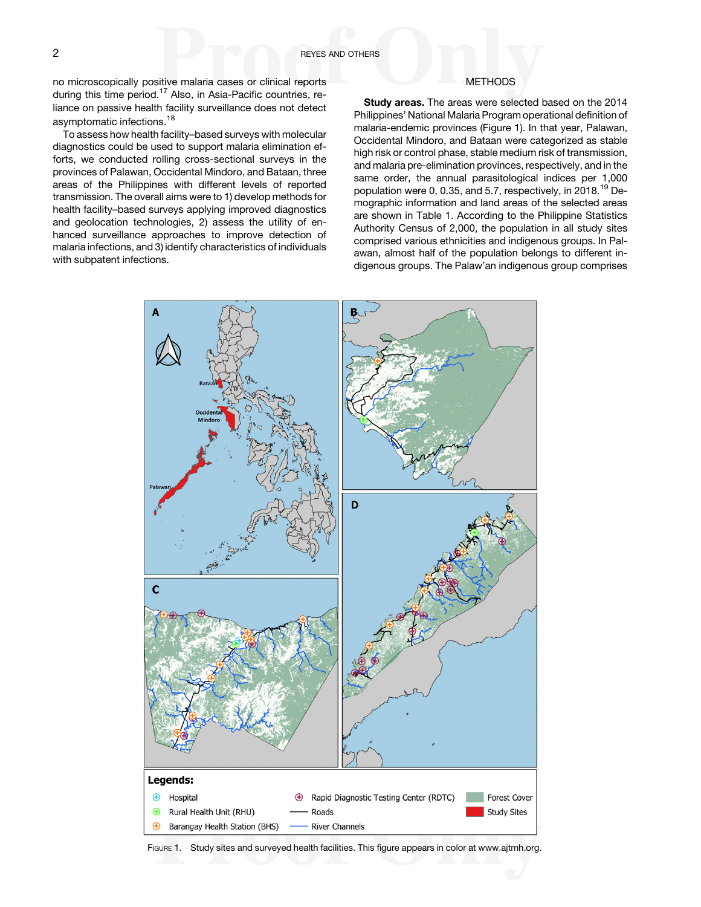no microscopically positive malaria cases or clinical reports during this time period.<sup>[17](#page-9-0)</sup> Also, in Asia-Pacific countries, reliance on passive health facility surveillance does not detect asymptomatic infections.[18](#page-9-0)

To assess how health facility–based surveys with molecular diagnostics could be used to support malaria elimination efforts, we conducted rolling cross-sectional surveys in the provinces of Palawan, Occidental Mindoro, and Bataan, three areas of the Philippines with different levels of reported transmission. The overall aims were to 1) develop methods for health facility–based surveys applying improved diagnostics and geolocation technologies, 2) assess the utility of enhanced surveillance approaches to improve detection of malaria infections, and 3) identify characteristics of individuals with subpatent infections.

## METHODS

Study areas. The areas were selected based on the 2014 Philippines' National Malaria Program operational definition of malaria-endemic provinces (Figure 1). In that year, Palawan, Occidental Mindoro, and Bataan were categorized as stable high risk or control phase, stable medium risk of transmission, and malaria pre-elimination provinces, respectively, and in the same order, the annual parasitological indices per 1,000 population were 0, 0.35, and 5.7, respectively, in 2018.[19](#page-9-0) Demographic information and land areas of the selected areas are shown in [Table 1.](#page-2-0) According to the Philippine Statistics Authority Census of 2,000, the population in all study sites comprised various ethnicities and indigenous groups. In Palawan, almost half of the population belongs to different indigenous groups. The Palaw'an indigenous group comprises



FIGURE 1. Study sites and surveyed health facilities. This figure appears in color at [www.ajtmh.org](http://www.ajtmh.org).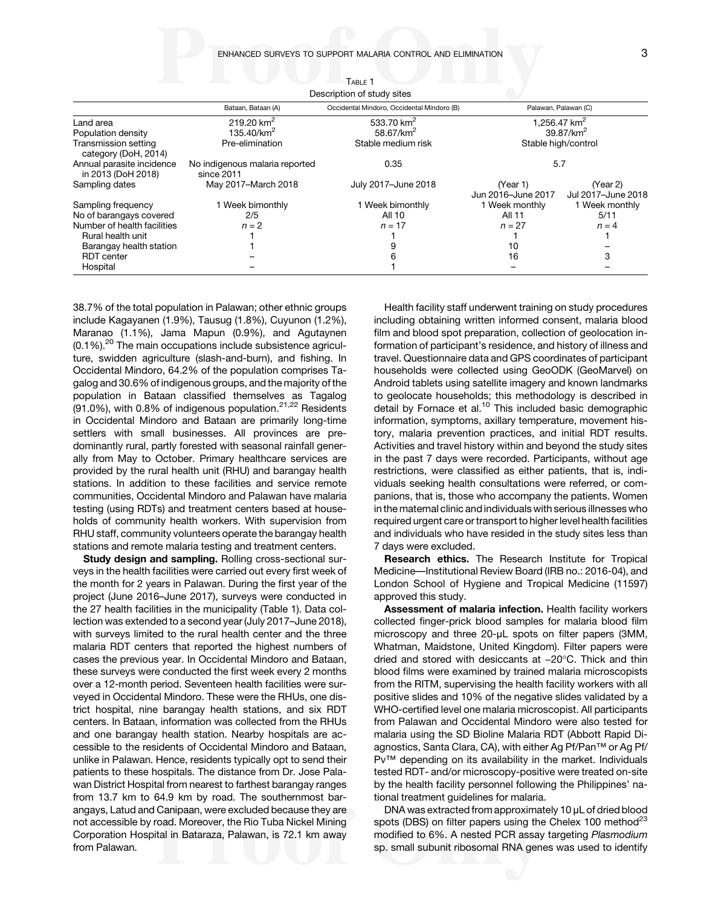ENHANCED SURVEYS TO SUPPORT MALARIA CONTROL AND ELIMINATION 3

<span id="page-2-0"></span>

|                                                 |                                                  | Description of study sites                 |                                          |                                |  |
|-------------------------------------------------|--------------------------------------------------|--------------------------------------------|------------------------------------------|--------------------------------|--|
|                                                 | Bataan, Bataan (A)                               | Occidental Mindoro, Occidental Mindoro (B) | Palawan, Palawan (C)                     |                                |  |
| Land area<br>Population density                 | 219.20 km <sup>2</sup><br>135.40/km <sup>2</sup> | 533.70 $km^2$<br>58.67/km <sup>2</sup>     | 1.256.47 km <sup>2</sup><br>$39.87/km^2$ |                                |  |
| Transmission setting<br>category (DoH, 2014)    | Pre-elimination                                  | Stable medium risk                         | Stable high/control                      |                                |  |
| Annual parasite incidence<br>in 2013 (DoH 2018) | No indigenous malaria reported<br>since 2011     | 0.35                                       | 5.7                                      |                                |  |
| Sampling dates                                  | May 2017-March 2018                              | July 2017-June 2018                        | (Year 1)<br>Jun 2016-June 2017           | (Year 2)<br>Jul 2017-June 2018 |  |
| Sampling frequency                              | 1 Week bimonthly                                 | 1 Week bimonthly                           | 1 Week monthly                           | 1 Week monthly                 |  |
| No of barangays covered                         | 2/5                                              | All 10                                     | All 11                                   | 5/11                           |  |
| Number of health facilities                     | $n = 2$                                          | $n = 17$                                   | $n = 27$                                 | $n = 4$                        |  |
| Rural health unit                               |                                                  |                                            |                                          |                                |  |
| Barangay health station                         |                                                  |                                            | 10                                       |                                |  |
| <b>RDT</b> center                               |                                                  |                                            | 16                                       | 3                              |  |
| Hospital                                        |                                                  |                                            |                                          |                                |  |

TABLE 1 Description of study sites

38.7% of the total population in Palawan; other ethnic groups include Kagayanen (1.9%), Tausug (1.8%), Cuyunon (1.2%), Maranao (1.1%), Jama Mapun (0.9%), and Agutaynen  $(0.1\%)$ .<sup>[20](#page-9-0)</sup> The main occupations include subsistence agriculture, swidden agriculture (slash-and-burn), and fishing. In Occidental Mindoro, 64.2% of the population comprises Tagalog and 30.6% of indigenous groups, and the majority of the population in Bataan classified themselves as Tagalog (91.0%), with 0.8% of indigenous population. $21,22$  Residents in Occidental Mindoro and Bataan are primarily long-time settlers with small businesses. All provinces are predominantly rural, partly forested with seasonal rainfall generally from May to October. Primary healthcare services are provided by the rural health unit (RHU) and barangay health stations. In addition to these facilities and service remote communities, Occidental Mindoro and Palawan have malaria testing (using RDTs) and treatment centers based at households of community health workers. With supervision from RHU staff, community volunteers operate the barangay health stations and remote malaria testing and treatment centers.

Study design and sampling. Rolling cross-sectional surveys in the health facilities were carried out every first week of the month for 2 years in Palawan. During the first year of the project (June 2016–June 2017), surveys were conducted in the 27 health facilities in the municipality (Table 1). Data collection was extended to a second year (July 2017–June 2018), with surveys limited to the rural health center and the three malaria RDT centers that reported the highest numbers of cases the previous year. In Occidental Mindoro and Bataan, these surveys were conducted the first week every 2 months over a 12-month period. Seventeen health facilities were surveyed in Occidental Mindoro. These were the RHUs, one district hospital, nine barangay health stations, and six RDT centers. In Bataan, information was collected from the RHUs and one barangay health station. Nearby hospitals are accessible to the residents of Occidental Mindoro and Bataan, unlike in Palawan. Hence, residents typically opt to send their patients to these hospitals. The distance from Dr. Jose Palawan District Hospital from nearest to farthest barangay ranges from 13.7 km to 64.9 km by road. The southernmost barangays, Latud and Canipaan, were excluded because they are not accessible by road. Moreover, the Rio Tuba Nickel Mining Corporation Hospital in Bataraza, Palawan, is 72.1 km away from Palawan.

Health facility staff underwent training on study procedures including obtaining written informed consent, malaria blood film and blood spot preparation, collection of geolocation information of participant's residence, and history of illness and travel. Questionnaire data and GPS coordinates of participant households were collected using GeoODK (GeoMarvel) on Android tablets using satellite imagery and known landmarks to geolocate households; this methodology is described in detail by Fornace et al.<sup>[10](#page-9-0)</sup> This included basic demographic information, symptoms, axillary temperature, movement history, malaria prevention practices, and initial RDT results. Activities and travel history within and beyond the study sites in the past 7 days were recorded. Participants, without age restrictions, were classified as either patients, that is, individuals seeking health consultations were referred, or companions, that is, those who accompany the patients. Women in the maternal clinic and individuals with serious illnesses who required urgent care or transport to higher level health facilities and individuals who have resided in the study sites less than 7 days were excluded.

Research ethics. The Research Institute for Tropical Medicine—Institutional Review Board (IRB no.: 2016-04), and London School of Hygiene and Tropical Medicine (11597) approved this study.

Assessment of malaria infection. Health facility workers collected finger-prick blood samples for malaria blood film microscopy and three 20-μL spots on filter papers (3MM, Whatman, Maidstone, United Kingdom). Filter papers were collected finger-prick blood samples for malaria blood film<br>microscopy and three 20-µL spots on filter papers (3MM,<br>Whatman, Maidstone, United Kingdom). Filter papers were<br>dried and stored with desiccants at −20°C. Thick blood films were examined by trained malaria microscopists from the RITM, supervising the health facility workers with all positive slides and 10% of the negative slides validated by a WHO-certified level one malaria microscopist. All participants from Palawan and Occidental Mindoro were also tested for malaria using the SD Bioline Malaria RDT (Abbott Rapid Diagnostics, Santa Clara, CA), with either Ag Pf/Pan™ or Ag Pf/ Pv™ depending on its availability in the market. Individuals tested RDT- and/or microscopy-positive were treated on-site by the health facility personnel following the Philippines' national treatment guidelines for malaria.

DNA was extracted from approximately 10 μL of dried blood spots (DBS) on filter papers using the Chelex 100 method<sup>[23](#page-9-0)</sup> modified to 6%. A nested PCR assay targeting Plasmodium sp. small subunit ribosomal RNA genes was used to identify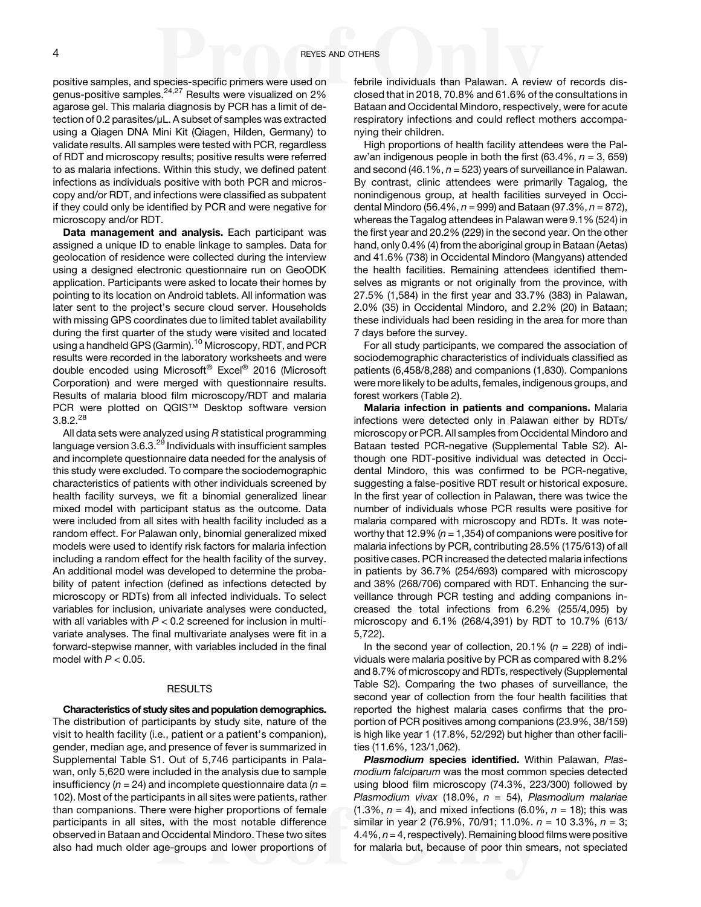positive samples, and species-specific primers were used on genus-positive samples.[24,27](#page-9-0) Results were visualized on 2% agarose gel. This malaria diagnosis by PCR has a limit of detection of 0.2 parasites/μL. A subset of samples was extracted using a Qiagen DNA Mini Kit (Qiagen, Hilden, Germany) to validate results. All samples were tested with PCR, regardless of RDT and microscopy results; positive results were referred to as malaria infections. Within this study, we defined patent infections as individuals positive with both PCR and microscopy and/or RDT, and infections were classified as subpatent if they could only be identified by PCR and were negative for microscopy and/or RDT.

Data management and analysis. Each participant was assigned a unique ID to enable linkage to samples. Data for geolocation of residence were collected during the interview using a designed electronic questionnaire run on GeoODK application. Participants were asked to locate their homes by pointing to its location on Android tablets. All information was later sent to the project's secure cloud server. Households with missing GPS coordinates due to limited tablet availability during the first quarter of the study were visited and located using a handheld GPS (Garmin).<sup>[10](#page-9-0)</sup> Microscopy, RDT, and PCR results were recorded in the laboratory worksheets and were double encoded using Microsoft® Excel® 2016 (Microsoft Corporation) and were merged with questionnaire results. Results of malaria blood film microscopy/RDT and malaria PCR were plotted on QGIS™ Desktop software version  $3.8.2.^{28}$  $3.8.2.^{28}$  $3.8.2.^{28}$ 

All data sets were analyzed using  $R$  statistical programming language version 3.6.3.<sup>[29](#page-9-0)</sup> Individuals with insufficient samples and incomplete questionnaire data needed for the analysis of this study were excluded. To compare the sociodemographic characteristics of patients with other individuals screened by health facility surveys, we fit a binomial generalized linear mixed model with participant status as the outcome. Data were included from all sites with health facility included as a random effect. For Palawan only, binomial generalized mixed models were used to identify risk factors for malaria infection including a random effect for the health facility of the survey. An additional model was developed to determine the probability of patent infection (defined as infections detected by microscopy or RDTs) from all infected individuals. To select variables for inclusion, univariate analyses were conducted, with all variables with  $P < 0.2$  screened for inclusion in multivariate analyses. The final multivariate analyses were fit in a forward-stepwise manner, with variables included in the final model with  $P < 0.05$ .

#### RESULTS

Characteristics of study sites and population demographics. The distribution of participants by study site, nature of the visit to health facility (i.e., patient or a patient's companion), gender, median age, and presence of fever is summarized in Supplemental Table S1. Out of 5,746 participants in Palawan, only 5,620 were included in the analysis due to sample insufficiency ( $n = 24$ ) and incomplete questionnaire data ( $n =$ 102). Most of the participants in all sites were patients, rather than companions. There were higher proportions of female participants in all sites, with the most notable difference observed in Bataan and Occidental Mindoro. These two sites also had much older age-groups and lower proportions of febrile individuals than Palawan. A review of records disclosed that in 2018, 70.8% and 61.6% of the consultations in Bataan and Occidental Mindoro, respectively, were for acute respiratory infections and could reflect mothers accompanying their children.

High proportions of health facility attendees were the Palaw'an indigenous people in both the first  $(63.4\%, n = 3, 659)$ and second (46.1%,  $n = 523$ ) years of surveillance in Palawan. By contrast, clinic attendees were primarily Tagalog, the nonindigenous group, at health facilities surveyed in Occidental Mindoro (56.4%,  $n = 999$ ) and Bataan (97.3%,  $n = 872$ ), whereas the Tagalog attendees in Palawan were 9.1% (524) in the first year and 20.2% (229) in the second year. On the other hand, only 0.4% (4) from the aboriginal group in Bataan (Aetas) and 41.6% (738) in Occidental Mindoro (Mangyans) attended the health facilities. Remaining attendees identified themselves as migrants or not originally from the province, with 27.5% (1,584) in the first year and 33.7% (383) in Palawan, 2.0% (35) in Occidental Mindoro, and 2.2% (20) in Bataan; these individuals had been residing in the area for more than 7 days before the survey.

For all study participants, we compared the association of sociodemographic characteristics of individuals classified as patients (6,458/8,288) and companions (1,830). Companions were more likely to be adults, females, indigenous groups, and forest workers [\(Table 2](#page-4-0)).

Malaria infection in patients and companions. Malaria infections were detected only in Palawan either by RDTs/ microscopy or PCR. All samples from Occidental Mindoro and Bataan tested PCR-negative (Supplemental Table S2). Although one RDT-positive individual was detected in Occidental Mindoro, this was confirmed to be PCR-negative, suggesting a false-positive RDT result or historical exposure. In the first year of collection in Palawan, there was twice the number of individuals whose PCR results were positive for malaria compared with microscopy and RDTs. It was noteworthy that 12.9% ( $n = 1,354$ ) of companions were positive for malaria infections by PCR, contributing 28.5% (175/613) of all positive cases. PCR increased the detected malaria infections in patients by 36.7% (254/693) compared with microscopy and 38% (268/706) compared with RDT. Enhancing the surveillance through PCR testing and adding companions increased the total infections from 6.2% (255/4,095) by microscopy and 6.1% (268/4,391) by RDT to 10.7% (613/ 5,722).

In the second year of collection, 20.1% ( $n = 228$ ) of individuals were malaria positive by PCR as compared with 8.2% and 8.7% of microscopy and RDTs, respectively (Supplemental Table S2). Comparing the two phases of surveillance, the second year of collection from the four health facilities that reported the highest malaria cases confirms that the proportion of PCR positives among companions (23.9%, 38/159) is high like year 1 (17.8%, 52/292) but higher than other facilities (11.6%, 123/1,062).

Plasmodium species identified. Within Palawan, Plasmodium falciparum was the most common species detected using blood film microscopy (74.3%, 223/300) followed by Plasmodium vivax (18.0%,  $n = 54$ ), Plasmodium malariae  $(1.3\%, n = 4)$ , and mixed infections  $(6.0\%, n = 18)$ ; this was similar in year 2 (76.9%, 70/91; 11.0%.  $n = 103.3\%$ ,  $n = 3$ ;  $4.4\%$ ,  $n = 4$ , respectively). Remaining blood films were positive for malaria but, because of poor thin smears, not speciated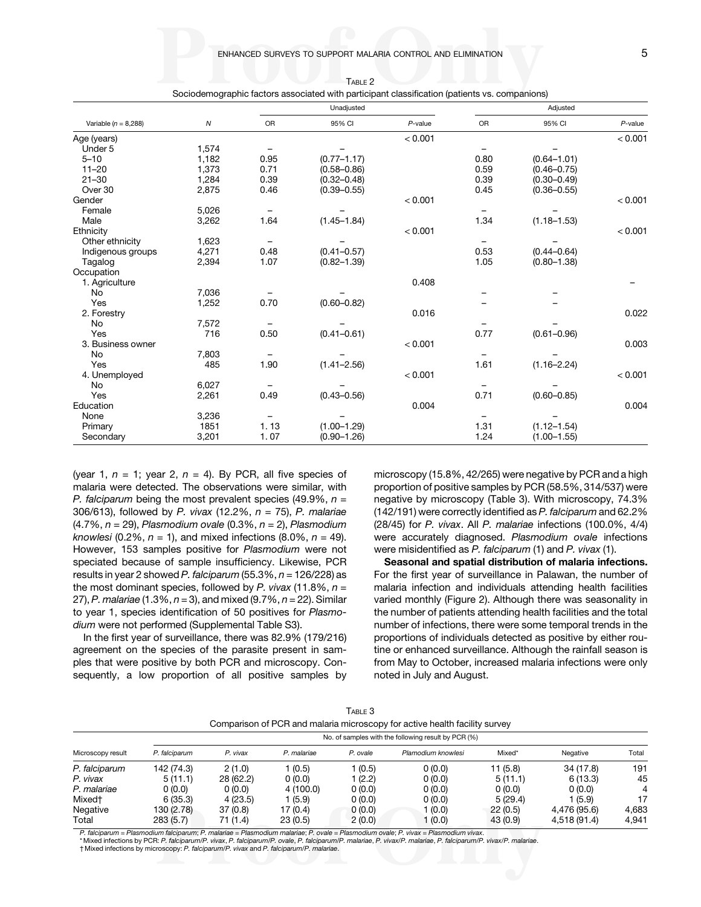<span id="page-4-0"></span>

|                          |       |           | Unadjusted      |            |           | Adjusted        |            |  |
|--------------------------|-------|-----------|-----------------|------------|-----------|-----------------|------------|--|
| Variable ( $n = 8,288$ ) | N     | <b>OR</b> | 95% CI          | $P$ -value | <b>OR</b> | 95% CI          | $P$ -value |  |
| Age (years)              |       |           |                 | < 0.001    |           |                 | < 0.001    |  |
| Under 5                  | 1,574 |           |                 |            |           |                 |            |  |
| $5 - 10$                 | 1,182 | 0.95      | $(0.77 - 1.17)$ |            | 0.80      | $(0.64 - 1.01)$ |            |  |
| $11 - 20$                | 1,373 | 0.71      | $(0.58 - 0.86)$ |            | 0.59      | $(0.46 - 0.75)$ |            |  |
| $21 - 30$                | 1,284 | 0.39      | $(0.32 - 0.48)$ |            | 0.39      | $(0.30 - 0.49)$ |            |  |
| Over 30                  | 2,875 | 0.46      | $(0.39 - 0.55)$ |            | 0.45      | $(0.36 - 0.55)$ |            |  |
| Gender                   |       |           |                 | < 0.001    |           |                 | < 0.001    |  |
| Female                   | 5,026 |           |                 |            |           |                 |            |  |
| Male                     | 3,262 | 1.64      | $(1.45 - 1.84)$ |            | 1.34      | $(1.18 - 1.53)$ |            |  |
| Ethnicity                |       |           |                 | < 0.001    |           |                 | < 0.001    |  |
| Other ethnicity          | 1,623 | -         |                 |            |           |                 |            |  |
| Indigenous groups        | 4,271 | 0.48      | $(0.41 - 0.57)$ |            | 0.53      | $(0.44 - 0.64)$ |            |  |
| Tagalog                  | 2,394 | 1.07      | $(0.82 - 1.39)$ |            | 1.05      | $(0.80 - 1.38)$ |            |  |
| Occupation               |       |           |                 |            |           |                 |            |  |
| 1. Agriculture           |       |           |                 | 0.408      |           |                 |            |  |
| No                       | 7,036 |           |                 |            |           |                 |            |  |
| Yes                      | 1,252 | 0.70      | $(0.60 - 0.82)$ |            |           |                 |            |  |
| 2. Forestry              |       |           |                 | 0.016      |           |                 | 0.022      |  |
| No                       | 7,572 |           |                 |            |           |                 |            |  |
| Yes                      | 716   | 0.50      | $(0.41 - 0.61)$ |            | 0.77      | $(0.61 - 0.96)$ |            |  |
| 3. Business owner        |       |           |                 | < 0.001    |           |                 | 0.003      |  |
| <b>No</b>                | 7,803 |           |                 |            |           |                 |            |  |
| Yes                      | 485   | 1.90      | $(1.41 - 2.56)$ |            | 1.61      | $(1.16 - 2.24)$ |            |  |
| 4. Unemployed            |       |           |                 | < 0.001    |           |                 | < 0.001    |  |
| No                       | 6,027 |           |                 |            |           |                 |            |  |
| Yes                      | 2,261 | 0.49      | $(0.43 - 0.56)$ |            | 0.71      | $(0.60 - 0.85)$ |            |  |
| Education                |       |           |                 | 0.004      |           |                 | 0.004      |  |
| None                     | 3,236 |           |                 |            |           |                 |            |  |
| Primary                  | 1851  | 1.13      | $(1.00 - 1.29)$ |            | 1.31      | $(1.12 - 1.54)$ |            |  |
| Secondary                | 3,201 | 1.07      | $(0.90 - 1.26)$ |            | 1.24      | $(1.00 - 1.55)$ |            |  |

TABLE 2

Sociodemographic factors associated with participant classification (patients vs. companions)

(year 1,  $n = 1$ ; year 2,  $n = 4$ ). By PCR, all five species of malaria were detected. The observations were similar, with P. falciparum being the most prevalent species (49.9%,  $n =$ 306/613), followed by P. vivax (12.2%,  $n = 75$ ), P. malariae  $(4.7\%, n = 29)$ , Plasmodium ovale  $(0.3\%, n = 2)$ , Plasmodium knowlesi (0.2%,  $n = 1$ ), and mixed infections (8.0%,  $n = 49$ ). However, 153 samples positive for Plasmodium were not speciated because of sample insufficiency. Likewise, PCR results in year 2 showed P. falciparum  $(55.3\%, n = 126/228)$  as the most dominant species, followed by P. vivax (11.8%,  $n =$ 27), P. malariae (1.3%,  $n = 3$ ), and mixed (9.7%,  $n = 22$ ). Similar to year 1, species identification of 50 positives for Plasmodium were not performed (Supplemental Table S3).

In the first year of surveillance, there was 82.9% (179/216) agreement on the species of the parasite present in samples that were positive by both PCR and microscopy. Consequently, a low proportion of all positive samples by microscopy (15.8%, 42/265) were negative by PCR and a high proportion of positive samples by PCR (58.5%, 314/537) were negative by microscopy (Table 3). With microscopy, 74.3% (142/191) were correctly identified as P. falciparum and 62.2% (28/45) for P. vivax. All P. malariae infections (100.0%, 4/4) were accurately diagnosed. Plasmodium ovale infections were misidentified as P. falciparum (1) and P. vivax (1).

Seasonal and spatial distribution of malaria infections. For the first year of surveillance in Palawan, the number of malaria infection and individuals attending health facilities varied monthly (Figure 2). Although there was seasonality in the number of patients attending health facilities and the total number of infections, there were some temporal trends in the proportions of individuals detected as positive by either routine or enhanced surveillance. Although the rainfall season is from May to October, increased malaria infections were only noted in July and August.

|                                                                            |                                                     |          |             | ك I ABLE |                    |          |              |       |  |  |  |
|----------------------------------------------------------------------------|-----------------------------------------------------|----------|-------------|----------|--------------------|----------|--------------|-------|--|--|--|
| Comparison of PCR and malaria microscopy for active health facility survey |                                                     |          |             |          |                    |          |              |       |  |  |  |
|                                                                            | No. of samples with the following result by PCR (%) |          |             |          |                    |          |              |       |  |  |  |
| Microscopy result                                                          | P. falciparum                                       | P. vivax | P. malariae | P. ovale | Plamodium knowlesi | Mixed*   | Negative     | Total |  |  |  |
| P. falciparum                                                              | 142 (74.3)                                          | 2(1.0)   | 1 (0.5)     | 1 (0.5)  | 0(0.0)             | 11 (5.8) | 34 (17.8)    | 191   |  |  |  |
| P. vivax                                                                   | 5(11.1)                                             | 28(62.2) | 0(0.0)      | 1 (2.2)  | 0(0.0)             | 5(11.1)  | 6(13.3)      | 45    |  |  |  |
| P. malariae                                                                | 0(0.0)                                              | 0(0.0)   | 4 (100.0)   | 0(0.0)   | 0(0.0)             | 0(0.0)   | 0(0.0)       | 4     |  |  |  |
| Mixed†                                                                     | 6(35.3)                                             | 4(23.5)  | 1 (5.9)     | 0(0.0)   | 0(0.0)             | 5(29.4)  | (5.9)        | 17    |  |  |  |
| Negative                                                                   | 130 (2.78)                                          | 37(0.8)  | 17 (0.4)    | 0(0.0)   | (0.0)              | 22(0.5)  | 4.476 (95.6) | 4.683 |  |  |  |
| Total                                                                      | 283(5.7)                                            | 71 (1.4) | 23(0.5)     | 2(0.0)   | 1 (0.0)            | 43(0.9)  | 4,518 (91.4) | 4,941 |  |  |  |

 $T = 3$ 

P. falciparum = Plasmodium falciparum; P. malariae = Plasmodium malariae; P. ovale = Plasmodium ovale; P. vivax = Plasmodium vivax. \* Mixed infections by PCR: P. falciparum/P. vivax, P. falciparum/P. ovale, P. falciparum/P. malariae, P. vivax/P. malariae, P. falciparum/P. vivax/P. malariae.

† Mixed infections by microscopy: P. falciparum/P. vivax and P. falciparum/P. malariae.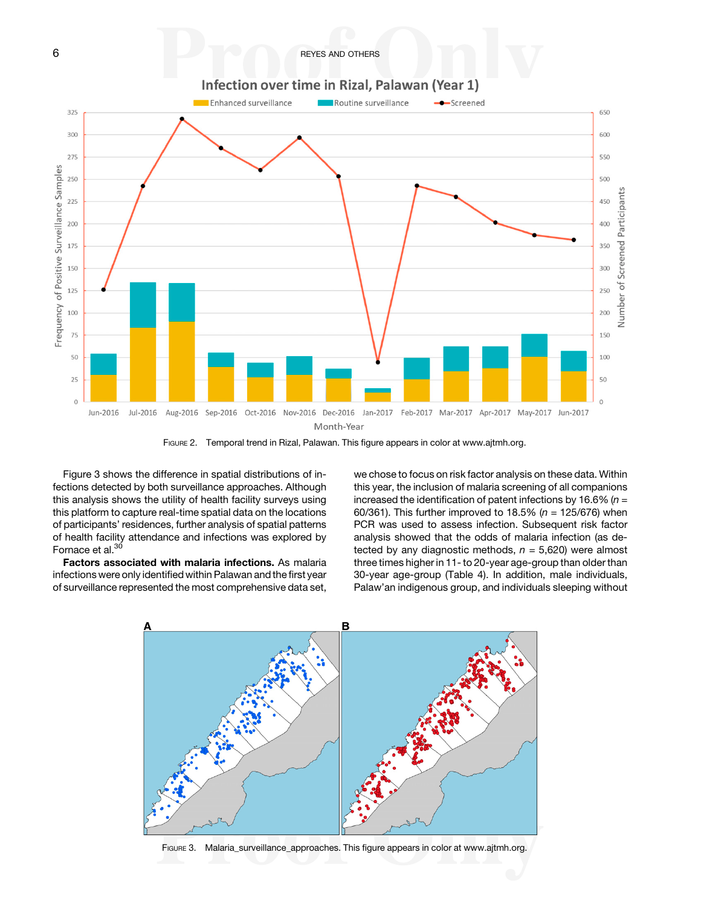6 **BEYES AND OTHERS** 



FIGURE 2. Temporal trend in Rizal, Palawan. This figure appears in color at [www.ajtmh.org.](http://www.ajtmh.org)

Figure 3 shows the difference in spatial distributions of infections detected by both surveillance approaches. Although this analysis shows the utility of health facility surveys using this platform to capture real-time spatial data on the locations of participants' residences, further analysis of spatial patterns of health facility attendance and infections was explored by Fornace et al.<sup>[30](#page-9-0)</sup>

Factors associated with malaria infections. As malaria infections were only identified within Palawan and the first year of surveillance represented the most comprehensive data set,

we chose to focus on risk factor analysis on these data. Within this year, the inclusion of malaria screening of all companions increased the identification of patent infections by 16.6% ( $n =$ 60/361). This further improved to 18.5% ( $n = 125/676$ ) when PCR was used to assess infection. Subsequent risk factor analysis showed that the odds of malaria infection (as detected by any diagnostic methods,  $n = 5,620$ ) were almost three times higher in 11- to 20-year age-group than older than 30-year age-group [\(Table 4](#page-6-0)). In addition, male individuals, Palaw'an indigenous group, and individuals sleeping without



FIGURE 3. Malaria\_surveillance\_approaches. This figure appears in color at [www.ajtmh.org.](http://www.ajtmh.org)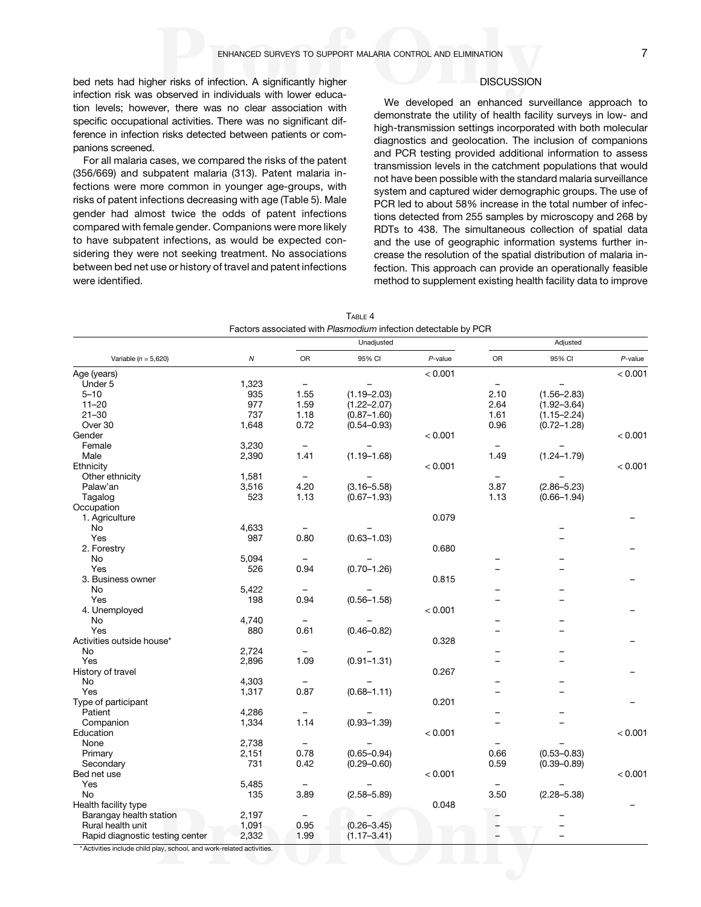<span id="page-6-0"></span>bed nets had higher risks of infection. A significantly higher infection risk was observed in individuals with lower education levels; however, there was no clear association with specific occupational activities. There was no significant difference in infection risks detected between patients or companions screened.

For all malaria cases, we compared the risks of the patent (356/669) and subpatent malaria (313). Patent malaria infections were more common in younger age-groups, with risks of patent infections decreasing with age [\(Table 5\)](#page-7-0). Male gender had almost twice the odds of patent infections compared with female gender. Companions were more likely to have subpatent infections, as would be expected considering they were not seeking treatment. No associations between bed net use or history of travel and patent infections were identified.

# **DISCUSSION**

We developed an enhanced surveillance approach to demonstrate the utility of health facility surveys in low- and high-transmission settings incorporated with both molecular diagnostics and geolocation. The inclusion of companions and PCR testing provided additional information to assess transmission levels in the catchment populations that would not have been possible with the standard malaria surveillance system and captured wider demographic groups. The use of PCR led to about 58% increase in the total number of infections detected from 255 samples by microscopy and 268 by RDTs to 438. The simultaneous collection of spatial data and the use of geographic information systems further increase the resolution of the spatial distribution of malaria infection. This approach can provide an operationally feasible method to supplement existing health facility data to improve

|                                                                     |            | Unadjusted |                 |            | Adjusted |                 |            |
|---------------------------------------------------------------------|------------|------------|-----------------|------------|----------|-----------------|------------|
| Variable ( $n = 5,620$ )                                            | ${\cal N}$ | <b>OR</b>  | 95% CI          | $P$ -value | OR       | 95% CI          | $P$ -value |
| Age (years)                                                         |            |            |                 | < 0.001    |          |                 | < 0.001    |
| Under 5                                                             | 1,323      |            |                 |            |          |                 |            |
| $5 - 10$                                                            | 935        | 1.55       | $(1.19 - 2.03)$ |            | 2.10     | $(1.56 - 2.83)$ |            |
| $11 - 20$                                                           | 977        | 1.59       | $(1.22 - 2.07)$ |            | 2.64     | $(1.92 - 3.64)$ |            |
| $21 - 30$                                                           | 737        | 1.18       | $(0.87 - 1.60)$ |            | 1.61     | $(1.15 - 2.24)$ |            |
| Over 30                                                             | 1,648      | 0.72       | $(0.54 - 0.93)$ |            | 0.96     | $(0.72 - 1.28)$ |            |
| Gender                                                              |            |            |                 | < 0.001    |          |                 | < 0.001    |
| Female                                                              | 3,230      |            |                 |            |          |                 |            |
| Male                                                                | 2,390      | 1.41       | $(1.19 - 1.68)$ |            | 1.49     | $(1.24 - 1.79)$ |            |
| Ethnicity                                                           |            |            |                 | < 0.001    |          |                 | < 0.001    |
| Other ethnicity                                                     | 1,581      |            |                 |            |          |                 |            |
| Palaw'an                                                            | 3,516      | 4.20       | $(3.16 - 5.58)$ |            | 3.87     | $(2.86 - 5.23)$ |            |
| Tagalog                                                             | 523        | 1.13       | $(0.67 - 1.93)$ |            | 1.13     | $(0.66 - 1.94)$ |            |
| Occupation                                                          |            |            |                 |            |          |                 |            |
| 1. Agriculture                                                      |            |            |                 | 0.079      |          |                 |            |
| No                                                                  | 4,633      |            |                 |            |          |                 |            |
| Yes                                                                 | 987        | 0.80       | $(0.63 - 1.03)$ |            |          |                 |            |
| 2. Forestry                                                         |            |            |                 | 0.680      |          |                 |            |
| No                                                                  | 5,094      |            |                 |            |          |                 |            |
| Yes                                                                 | 526        | 0.94       | $(0.70 - 1.26)$ |            |          |                 |            |
| 3. Business owner                                                   |            |            |                 | 0.815      |          |                 |            |
| No                                                                  | 5,422      |            |                 |            |          |                 |            |
| Yes                                                                 | 198        | 0.94       | $(0.56 - 1.58)$ |            |          |                 |            |
| 4. Unemployed                                                       |            |            |                 | < 0.001    |          |                 |            |
| No                                                                  | 4,740      |            |                 |            |          |                 |            |
| Yes                                                                 | 880        | 0.61       | $(0.46 - 0.82)$ |            |          | -               |            |
| Activities outside house*                                           |            |            |                 | 0.328      |          |                 |            |
| No                                                                  | 2,724      |            |                 |            |          |                 |            |
| Yes                                                                 | 2,896      | 1.09       | $(0.91 - 1.31)$ |            |          |                 |            |
| History of travel                                                   |            |            |                 | 0.267      |          |                 |            |
| No                                                                  | 4,303      |            |                 |            |          |                 |            |
| Yes                                                                 | 1,317      | 0.87       | $(0.68 - 1.11)$ |            |          |                 |            |
| Type of participant                                                 |            |            |                 | 0.201      |          |                 |            |
| Patient                                                             | 4,286      |            |                 |            |          |                 |            |
| Companion                                                           | 1,334      | 1.14       | $(0.93 - 1.39)$ |            |          |                 |            |
| Education                                                           |            |            |                 | < 0.001    |          |                 | < 0.001    |
| None                                                                | 2,738      |            |                 |            |          |                 |            |
| Primary                                                             | 2,151      | 0.78       | $(0.65 - 0.94)$ |            | 0.66     | $(0.53 - 0.83)$ |            |
| Secondary                                                           | 731        | 0.42       | $(0.29 - 0.60)$ |            | 0.59     | $(0.39 - 0.89)$ |            |
| Bed net use                                                         |            |            |                 | < 0.001    |          |                 | < 0.001    |
| Yes                                                                 | 5,485      |            |                 |            |          |                 |            |
| No                                                                  | 135        | 3.89       | $(2.58 - 5.89)$ |            | 3.50     | $(2.28 - 5.38)$ |            |
| Health facility type                                                |            |            |                 | 0.048      |          |                 |            |
| Barangay health station                                             | 2,197      |            |                 |            |          |                 |            |
| Rural health unit                                                   | 1,091      | 0.95       | $(0.26 - 3.45)$ |            |          |                 |            |
| Rapid diagnostic testing center                                     | 2,332      | 1.99       | $(1.17 - 3.41)$ |            |          |                 |            |
| * Activities include objid play, sebeci and week related estivities |            |            |                 |            |          |                 |            |

TABLE 4

\* Activities include child play, school, and work-related activities.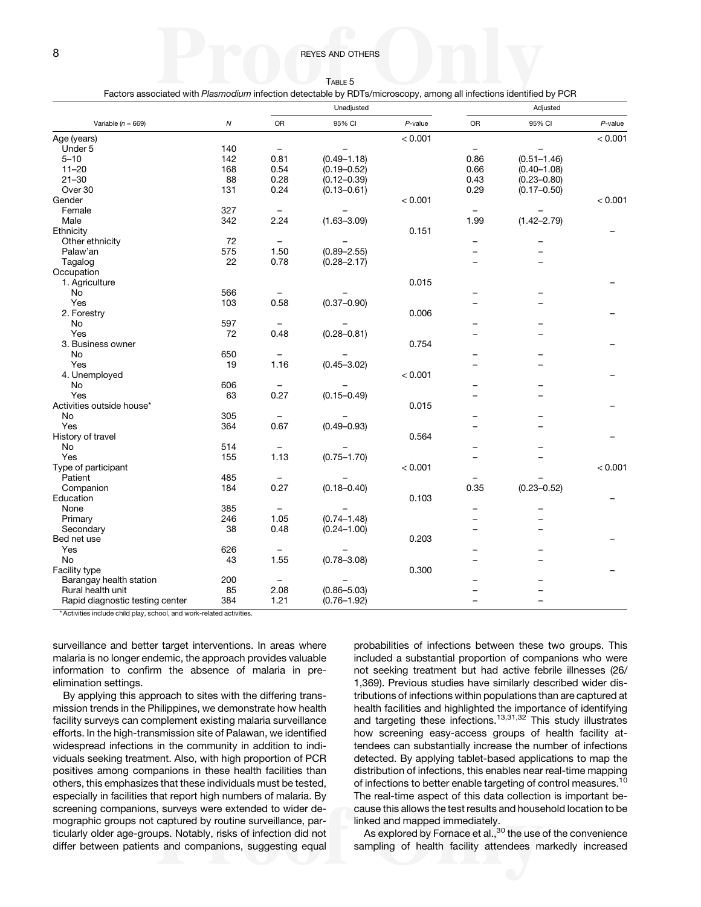TABLE 5 Factors associated with Plasmodium infection detectable by RDTs/microscopy, among all infections identified by PCR

<span id="page-7-0"></span>

|                                 |     | Unadjusted               |                 |            | Adjusted                 |                          |            |
|---------------------------------|-----|--------------------------|-----------------|------------|--------------------------|--------------------------|------------|
| Variable ( $n = 669$ )          | Ν   | OR                       | 95% CI          | $P$ -value | OR                       | 95% CI                   | $P$ -value |
| Age (years)                     |     |                          |                 | < 0.001    |                          |                          | < 0.001    |
| Under 5                         | 140 | $\overline{\phantom{m}}$ |                 |            | $\qquad \qquad -$        |                          |            |
| $5 - 10$                        | 142 | 0.81                     | $(0.49 - 1.18)$ |            | 0.86                     | $(0.51 - 1.46)$          |            |
| $11 - 20$                       | 168 | 0.54                     | $(0.19 - 0.52)$ |            | 0.66                     | $(0.40 - 1.08)$          |            |
| $21 - 30$                       | 88  | 0.28                     | $(0.12 - 0.39)$ |            | 0.43                     | $(0.23 - 0.80)$          |            |
| Over 30                         | 131 | 0.24                     | $(0.13 - 0.61)$ |            | 0.29                     | $(0.17 - 0.50)$          |            |
| Gender                          |     |                          |                 | < 0.001    |                          |                          | < 0.001    |
| Female                          | 327 |                          |                 |            |                          |                          |            |
| Male                            | 342 | 2.24                     | $(1.63 - 3.09)$ |            | 1.99                     | $(1.42 - 2.79)$          |            |
| Ethnicity                       |     |                          |                 | 0.151      |                          |                          |            |
| Other ethnicity                 | 72  | $\qquad \qquad -$        |                 |            | -                        |                          |            |
| Palaw'an                        | 575 | 1.50                     | $(0.89 - 2.55)$ |            | $\overline{\phantom{0}}$ |                          |            |
| Tagalog                         | 22  | 0.78                     | $(0.28 - 2.17)$ |            | <u>.</u>                 | $\overline{\phantom{0}}$ |            |
| Occupation                      |     |                          |                 |            |                          |                          |            |
| 1. Agriculture                  |     |                          |                 | 0.015      |                          |                          |            |
| No                              | 566 |                          |                 |            |                          |                          |            |
| Yes                             | 103 | 0.58                     | $(0.37 - 0.90)$ |            |                          |                          |            |
| 2. Forestry                     |     |                          |                 | 0.006      |                          |                          |            |
| No                              | 597 | $\equiv$                 |                 |            |                          |                          |            |
| Yes                             | 72  | 0.48                     | $(0.28 - 0.81)$ |            |                          |                          |            |
| 3. Business owner               |     |                          |                 | 0.754      |                          |                          |            |
| No                              | 650 |                          |                 |            |                          |                          |            |
| Yes                             | 19  | 1.16                     | $(0.45 - 3.02)$ |            |                          |                          |            |
| 4. Unemployed                   |     |                          |                 | < 0.001    |                          |                          |            |
| No                              | 606 |                          |                 |            |                          |                          |            |
| Yes                             | 63  | 0.27                     | $(0.15 - 0.49)$ |            |                          |                          |            |
| Activities outside house*       |     |                          |                 | 0.015      |                          |                          |            |
| No                              | 305 |                          |                 |            |                          |                          |            |
| Yes                             | 364 | 0.67                     | $(0.49 - 0.93)$ |            |                          |                          |            |
| History of travel               |     |                          |                 | 0.564      |                          |                          |            |
| No                              | 514 | $\qquad \qquad -$        |                 |            |                          |                          |            |
| Yes                             | 155 | 1.13                     | $(0.75 - 1.70)$ |            |                          |                          |            |
| Type of participant             |     |                          |                 | < 0.001    |                          |                          | < 0.001    |
| Patient                         | 485 |                          |                 |            |                          |                          |            |
| Companion                       | 184 | 0.27                     | $(0.18 - 0.40)$ |            | 0.35                     | $(0.23 - 0.52)$          |            |
| Education                       |     |                          |                 | 0.103      |                          |                          |            |
| None                            | 385 | $\overline{\phantom{a}}$ |                 |            | ÷                        |                          |            |
| Primary                         | 246 | 1.05                     | $(0.74 - 1.48)$ |            |                          |                          |            |
| Secondary                       | 38  | 0.48                     | $(0.24 - 1.00)$ |            |                          |                          |            |
| Bed net use                     |     |                          |                 | 0.203      |                          |                          |            |
| Yes                             | 626 | $\overline{\phantom{m}}$ |                 |            |                          |                          |            |
| No                              | 43  | 1.55                     | $(0.78 - 3.08)$ |            |                          |                          |            |
| Facility type                   |     |                          |                 | 0.300      |                          |                          |            |
| Barangay health station         | 200 | $\overline{\phantom{m}}$ |                 |            |                          |                          |            |
| Rural health unit               | 85  | 2.08                     | $(0.86 - 5.03)$ |            |                          |                          |            |
| Rapid diagnostic testing center | 384 | 1.21                     | $(0.76 - 1.92)$ |            | -                        | -                        |            |

\* Activities include child play, school, and work-related activities.

surveillance and better target interventions. In areas where malaria is no longer endemic, the approach provides valuable information to confirm the absence of malaria in preelimination settings.

By applying this approach to sites with the differing transmission trends in the Philippines, we demonstrate how health facility surveys can complement existing malaria surveillance efforts. In the high-transmission site of Palawan, we identified widespread infections in the community in addition to individuals seeking treatment. Also, with high proportion of PCR positives among companions in these health facilities than others, this emphasizes that these individuals must be tested, especially in facilities that report high numbers of malaria. By screening companions, surveys were extended to wider demographic groups not captured by routine surveillance, particularly older age-groups. Notably, risks of infection did not differ between patients and companions, suggesting equal probabilities of infections between these two groups. This included a substantial proportion of companions who were not seeking treatment but had active febrile illnesses (26/ 1,369). Previous studies have similarly described wider distributions of infections within populations than are captured at health facilities and highlighted the importance of identifying and targeting these infections.<sup>[13,31,32](#page-9-0)</sup> This study illustrates how screening easy-access groups of health facility attendees can substantially increase the number of infections detected. By applying tablet-based applications to map the distribution of infections, this enables near real-time mapping of infections to better enable targeting of control measures.<sup>[10](#page-9-0)</sup> The real-time aspect of this data collection is important because this allows the test results and household location to be linked and mapped immediately.

As explored by Fornace et al.,<sup>[30](#page-9-0)</sup> the use of the convenience sampling of health facility attendees markedly increased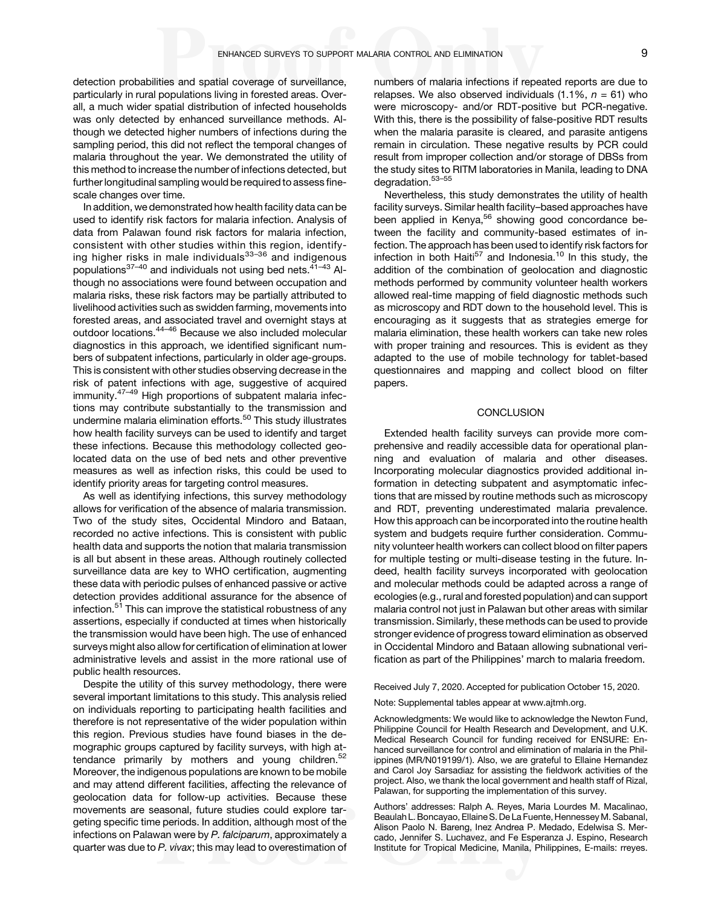detection probabilities and spatial coverage of surveillance, particularly in rural populations living in forested areas. Overall, a much wider spatial distribution of infected households was only detected by enhanced surveillance methods. Although we detected higher numbers of infections during the sampling period, this did not reflect the temporal changes of malaria throughout the year. We demonstrated the utility of this method to increase the number of infections detected, but further longitudinal sampling would be required to assess finescale changes over time.

In addition, we demonstrated how health facility data can be used to identify risk factors for malaria infection. Analysis of data from Palawan found risk factors for malaria infection, consistent with other studies within this region, identify-ing higher risks in male individuals<sup>[33](#page-9-0)-[36](#page-9-0)</sup> and indigenous populations<sup>[37](#page-10-0)-[40](#page-10-0)</sup> and individuals not using bed nets.<sup>[41](#page-10-0)-[43](#page-10-0)</sup> Although no associations were found between occupation and malaria risks, these risk factors may be partially attributed to livelihood activities such as swidden farming, movements into forested areas, and associated travel and overnight stays at outdoor locations.[44](#page-10-0)–[46](#page-10-0) Because we also included molecular diagnostics in this approach, we identified significant numbers of subpatent infections, particularly in older age-groups. This is consistent with other studies observing decrease in the risk of patent infections with age, suggestive of acquired immunity.<sup>[47](#page-10-0)-[49](#page-10-0)</sup> High proportions of subpatent malaria infections may contribute substantially to the transmission and undermine malaria elimination efforts.<sup>[50](#page-10-0)</sup> This study illustrates how health facility surveys can be used to identify and target these infections. Because this methodology collected geolocated data on the use of bed nets and other preventive measures as well as infection risks, this could be used to identify priority areas for targeting control measures.

As well as identifying infections, this survey methodology allows for verification of the absence of malaria transmission. Two of the study sites, Occidental Mindoro and Bataan, recorded no active infections. This is consistent with public health data and supports the notion that malaria transmission is all but absent in these areas. Although routinely collected surveillance data are key to WHO certification, augmenting these data with periodic pulses of enhanced passive or active detection provides additional assurance for the absence of infection.<sup>51</sup> This can improve the statistical robustness of any assertions, especially if conducted at times when historically the transmission would have been high. The use of enhanced surveys might also allow for certification of elimination at lower administrative levels and assist in the more rational use of public health resources.

Despite the utility of this survey methodology, there were several important limitations to this study. This analysis relied on individuals reporting to participating health facilities and therefore is not representative of the wider population within this region. Previous studies have found biases in the demographic groups captured by facility surveys, with high at-tendance primarily by mothers and young children.<sup>[52](#page-10-0)</sup> Moreover, the indigenous populations are known to be mobile and may attend different facilities, affecting the relevance of geolocation data for follow-up activities. Because these movements are seasonal, future studies could explore targeting specific time periods. In addition, although most of the infections on Palawan were by P. falciparum, approximately a quarter was due to P. vivax; this may lead to overestimation of numbers of malaria infections if repeated reports are due to relapses. We also observed individuals  $(1.1\%, n = 61)$  who were microscopy- and/or RDT-positive but PCR-negative. With this, there is the possibility of false-positive RDT results when the malaria parasite is cleared, and parasite antigens remain in circulation. These negative results by PCR could result from improper collection and/or storage of DBSs from the study sites to RITM laboratories in Manila, leading to DNA degradation.[53](#page-10-0)–[55](#page-10-0)

Nevertheless, this study demonstrates the utility of health facility surveys. Similar health facility–based approaches have been applied in Kenya,<sup>56</sup> showing good concordance between the facility and community-based estimates of infection. The approach has been used to identify risk factors for infection in both Haiti<sup>[57](#page-10-0)</sup> and Indonesia.<sup>[10](#page-9-0)</sup> In this study, the addition of the combination of geolocation and diagnostic methods performed by community volunteer health workers allowed real-time mapping of field diagnostic methods such as microscopy and RDT down to the household level. This is encouraging as it suggests that as strategies emerge for malaria elimination, these health workers can take new roles with proper training and resources. This is evident as they adapted to the use of mobile technology for tablet-based questionnaires and mapping and collect blood on filter papers.

## **CONCLUSION**

Extended health facility surveys can provide more comprehensive and readily accessible data for operational planning and evaluation of malaria and other diseases. Incorporating molecular diagnostics provided additional information in detecting subpatent and asymptomatic infections that are missed by routine methods such as microscopy and RDT, preventing underestimated malaria prevalence. How this approach can be incorporated into the routine health system and budgets require further consideration. Community volunteer health workers can collect blood on filter papers for multiple testing or multi-disease testing in the future. Indeed, health facility surveys incorporated with geolocation and molecular methods could be adapted across a range of ecologies (e.g., rural and forested population) and can support malaria control not just in Palawan but other areas with similar transmission. Similarly, these methods can be used to provide stronger evidence of progress toward elimination as observed in Occidental Mindoro and Bataan allowing subnational verification as part of the Philippines' march to malaria freedom.

Received July 7, 2020. Accepted for publication October 15, 2020.

Note: Supplemental tables appear at [www.ajtmh.org](http://www.ajtmh.org).

Acknowledgments: We would like to acknowledge the Newton Fund, Philippine Council for Health Research and Development, and U.K. Medical Research Council for funding received for ENSURE: Enhanced surveillance for control and elimination of malaria in the Philippines (MR/N019199/1). Also, we are grateful to Ellaine Hernandez and Carol Joy Sarsadiaz for assisting the fieldwork activities of the project. Also, we thank the local government and health staff of Rizal, Palawan, for supporting the implementation of this survey.

Authors' addresses: Ralph A. Reyes, Maria Lourdes M. Macalinao, Beaulah L. Boncayao, Ellaine S. De La Fuente, Hennessey M. Sabanal, Alison Paolo N. Bareng, Inez Andrea P. Medado, Edelwisa S. Mercado, Jennifer S. Luchavez, and Fe Esperanza J. Espino, Research Institute for Tropical Medicine, Manila, Philippines, E-mails: [rreyes.](mailto:rreyes.rmt@gmail.com)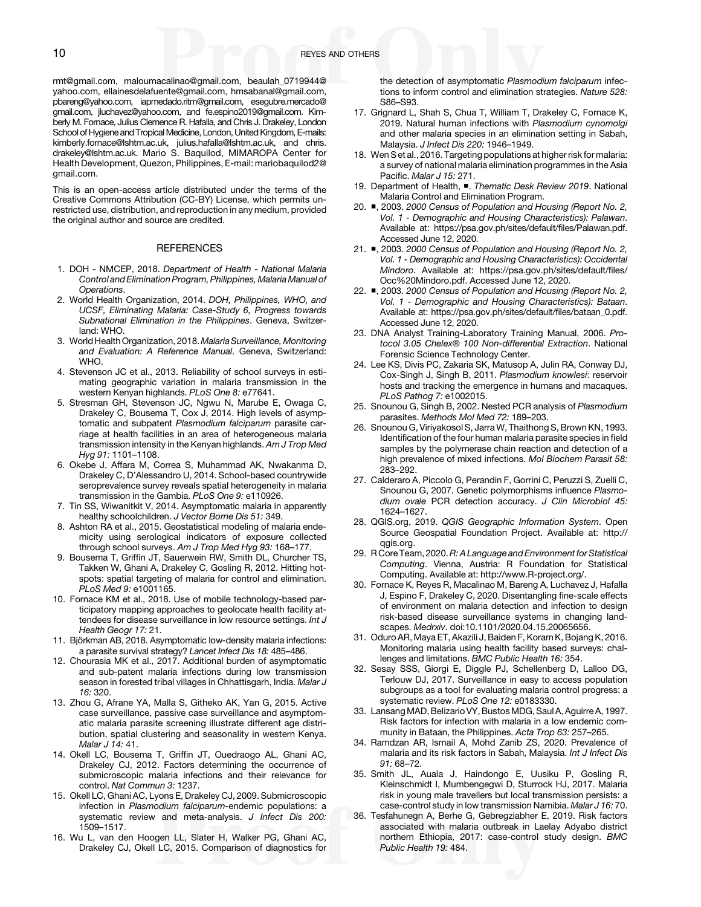<span id="page-9-0"></span>[rmt@gmail.com,](mailto:rreyes.rmt@gmail.com) [maloumacalinao@gmail.com,](mailto:maloumacalinao@gmail.com) [beaulah\\_0719944@](mailto:beaulah_0719944@yahoo.com) [yahoo.com](mailto:beaulah_0719944@yahoo.com), [ellainesdelafuente@gmail.com,](mailto:ellainesdelafuente@gmail.com) [hmsabanal@gmail.com](mailto:hmsabanal@gmail.com), [pbareng@yahoo.com](mailto:pbareng@yahoo.com), [iapmedado.ritm@gmail.com,](mailto:iapmedado.ritm@gmail.com) [esegubre.mercado@](mailto:esegubre.mercado@gmail.com) [gmail.com](mailto:esegubre.mercado@gmail.com), [jluchavez@yahoo.com](mailto:jluchavez@yahoo.com), and [fe.espino2019@gmail.com](mailto:fe.espino2019@gmail.com). Kimberly M. Fornace, Julius Clemence R. Hafalla, and Chris J. Drakeley, London School of Hygiene and Tropical Medicine, London, United Kingdom, E-mails: [kimberly.fornace@lshtm.ac.uk,](mailto:kimberly.fornace@lshtm.ac.uk) [julius.hafalla@lshtm.ac.uk,](mailto:julius.hafalla@lshtm.ac.uk) and [chris.](mailto:chris.drakeley@lshtm.ac.uk) [drakeley@lshtm.ac.uk.](mailto:chris.drakeley@lshtm.ac.uk) Mario S. Baquilod, MIMAROPA Center for Health Development, Quezon, Philippines, E-mail: [mariobaquilod2@](mailto:mariobaquilod2@gmail.com) [gmail.com.](mailto:mariobaquilod2@gmail.com)

This is an open-access article distributed under the terms of the [Creative Commons Attribution \(CC-BY\) License,](https://creativecommons.org/licenses/by/4.0/) which permits unrestricted use, distribution, and reproduction in any medium, provided the original author and source are credited.

#### **REFERENCES**

- 1. DOH NMCEP, 2018. Department of Health National Malaria Control and Elimination Program, Philippines, Malaria Manual of Operations.
- 2. World Health Organization, 2014. DOH, Philippines, WHO, and UCSF, Eliminating Malaria: Case-Study 6, Progress towards Subnational Elimination in the Philippines. Geneva, Switzerland: WHO.
- 3. World Health Organization, 2018. Malaria Surveillance, Monitoring and Evaluation: A Reference Manual. Geneva, Switzerland: WHO.
- 4. Stevenson JC et al., 2013. Reliability of school surveys in estimating geographic variation in malaria transmission in the western Kenyan highlands. PLoS One 8: e77641.
- 5. Stresman GH, Stevenson JC, Ngwu N, Marube E, Owaga C, Drakeley C, Bousema T, Cox J, 2014. High levels of asymptomatic and subpatent Plasmodium falciparum parasite carriage at health facilities in an area of heterogeneous malaria transmission intensity in the Kenyan highlands. Am J Trop Med Hyg 91: 1101–1108.
- 6. Okebe J, Affara M, Correa S, Muhammad AK, Nwakanma D, Drakeley C, D'Alessandro U, 2014. School-based countrywide seroprevalence survey reveals spatial heterogeneity in malaria transmission in the Gambia. PLoS One 9: e110926.
- 7. Tin SS, Wiwanitkit V, 2014. Asymptomatic malaria in apparently healthy schoolchildren. J Vector Borne Dis 51: 349.
- 8. Ashton RA et al., 2015. Geostatistical modeling of malaria endemicity using serological indicators of exposure collected through school surveys. Am J Trop Med Hyg 93: 168–177.
- 9. Bousema T, Griffin JT, Sauerwein RW, Smith DL, Churcher TS, Takken W, Ghani A, Drakeley C, Gosling R, 2012. Hitting hotspots: spatial targeting of malaria for control and elimination. PLoS Med 9: e1001165.
- 10. Fornace KM et al., 2018. Use of mobile technology-based participatory mapping approaches to geolocate health facility attendees for disease surveillance in low resource settings. Int J Health Geogr 17: 21.
- 11. Björkman AB, 2018. Asymptomatic low-density malaria infections: a parasite survival strategy? Lancet Infect Dis 18: 485–486.
- 12. Chourasia MK et al., 2017. Additional burden of asymptomatic and sub-patent malaria infections during low transmission season in forested tribal villages in Chhattisgarh, India. Malar J 16: 320.
- 13. Zhou G, Afrane YA, Malla S, Githeko AK, Yan G, 2015. Active case surveillance, passive case surveillance and asymptomatic malaria parasite screening illustrate different age distribution, spatial clustering and seasonality in western Kenya. Malar J 14: 41.
- 14. Okell LC, Bousema T, Griffin JT, Ouedraogo AL, Ghani AC, Drakeley CJ, 2012. Factors determining the occurrence of submicroscopic malaria infections and their relevance for control. Nat Commun 3: 1237.
- 15. Okell LC, Ghani AC, Lyons E, Drakeley CJ, 2009. Submicroscopic infection in Plasmodium falciparum-endemic populations: a systematic review and meta-analysis. J Infect Dis 200: 1509–1517.
- 16. Wu L, van den Hoogen LL, Slater H, Walker PG, Ghani AC, Drakeley CJ, Okell LC, 2015. Comparison of diagnostics for

the detection of asymptomatic Plasmodium falciparum infections to inform control and elimination strategies. Nature 528: S86–S93.

- 17. Grignard L, Shah S, Chua T, William T, Drakeley C, Fornace K, 2019. Natural human infections with Plasmodium cynomolgi and other malaria species in an elimination setting in Sabah, Malaysia. J Infect Dis 220: 1946–1949.
- 18. Wen S et al., 2016. Targeting populations at higher risk for malaria: a survey of national malaria elimination programmes in the Asia Pacific. Malar J 15: 271.
- 19. Department of Health, ■. Thematic Desk Review 2019. National Malaria Control and Elimination Program.
- 20. ■, 2003. 2000 Census of Population and Housing (Report No. 2, Vol. 1 - Demographic and Housing Characteristics): Palawan. Available at: [https://psa.gov.ph/sites/default/](https://psa.gov.ph/sites/default/files/Palawan.pdf)files/Palawan.pdf. Accessed June 12, 2020.
- 21. ■, 2003. 2000 Census of Population and Housing (Report No. 2, Vol. 1 - Demographic and Housing Characteristics): Occidental Mindoro. Available at: [https://psa.gov.ph/sites/default/](https://psa.gov.ph/sites/default/files/Occ%20Mindoro.pdf)files/ [Occ%20Mindoro.pdf](https://psa.gov.ph/sites/default/files/Occ%20Mindoro.pdf). Accessed June 12, 2020.
- 22. ■, 2003. 2000 Census of Population and Housing (Report No. 2, Vol. 1 - Demographic and Housing Characteristics): Bataan. Available at: [https://psa.gov.ph/sites/default/](https://psa.gov.ph/sites/default/files/bataan_0.pdf)files/bataan\_0.pdf. Accessed June 12, 2020.
- 23. DNA Analyst Training-Laboratory Training Manual, 2006. Protocol 3.05 Chelex® 100 Non-differential Extraction. National Forensic Science Technology Center.
- 24. Lee KS, Divis PC, Zakaria SK, Matusop A, Julin RA, Conway DJ, Cox-Singh J, Singh B, 2011. Plasmodium knowlesi: reservoir hosts and tracking the emergence in humans and macaques. PLoS Pathog 7: e1002015.
- 25. Snounou G, Singh B, 2002. Nested PCR analysis of Plasmodium parasites. Methods Mol Med 72: 189–203.
- 26. Snounou G, Viriyakosol S, Jarra W, Thaithong S, Brown KN, 1993. Identification of the four human malaria parasite species in field samples by the polymerase chain reaction and detection of a high prevalence of mixed infections. Mol Biochem Parasit 58: 283–292.
- 27. Calderaro A, Piccolo G, Perandin F, Gorrini C, Peruzzi S, Zuelli C, Snounou G, 2007. Genetic polymorphisms influence Plasmodium ovale PCR detection accuracy. J Clin Microbiol 45: 1624–1627.
- 28. QGIS.org, 2019. QGIS Geographic Information System. Open Source Geospatial Foundation Project. Available at: [http://](http://qgis.org) [qgis.org.](http://qgis.org)
- 29. R Core Team, 2020. R: A Language and Environment for Statistical Computing. Vienna, Austria: R Foundation for Statistical Computing. Available at:<http://www.R-project.org/>.
- 30. Fornace K, Reyes R, Macalinao M, Bareng A, Luchavez J, Hafalla J, Espino F, Drakeley C, 2020. Disentangling fine-scale effects of environment on malaria detection and infection to design risk-based disease surveillance systems in changing landscapes. Medrxiv. doi[:10.1101/2020.04.15.20065656](http://dx.doi.org/%2010.1101/2020.04.15.20065656).
- 31. Oduro AR, Maya ET, Akazili J, Baiden F, Koram K, Bojang K, 2016. Monitoring malaria using health facility based surveys: challenges and limitations. BMC Public Health 16: 354.
- 32. Sesay SSS, Giorgi E, Diggle PJ, Schellenberg D, Lalloo DG, Terlouw DJ, 2017. Surveillance in easy to access population subgroups as a tool for evaluating malaria control progress: a systematic review. PLoS One 12: e0183330.
- 33. LansangMAD, Belizario VY, Bustos MDG, Saul A, Aguirre A, 1997. Risk factors for infection with malaria in a low endemic community in Bataan, the Philippines. Acta Trop 63: 257-265.
- 34. Ramdzan AR, Ismail A, Mohd Zanib ZS, 2020. Prevalence of malaria and its risk factors in Sabah, Malaysia. Int J Infect Dis 91: 68–72.
- 35. Smith JL, Auala J, Haindongo E, Uusiku P, Gosling R, Kleinschmidt I, Mumbengegwi D, Sturrock HJ, 2017. Malaria risk in young male travellers but local transmission persists: a case-control study in low transmission Namibia. Malar J 16: 70.
- 36. Tesfahunegn A, Berhe G, Gebregziabher E, 2019. Risk factors associated with malaria outbreak in Laelay Adyabo district northern Ethiopia, 2017: case-control study design. BMC Public Health 19: 484.